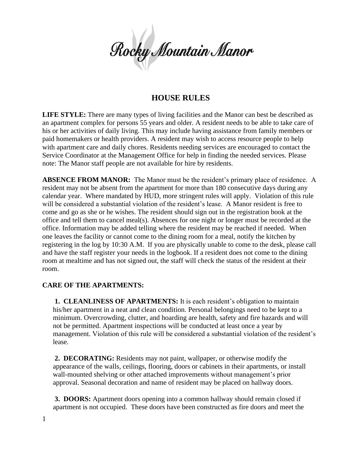Rocky Mountain Manor

# **HOUSE RULES**

**LIFE STYLE:** There are many types of living facilities and the Manor can best be described as an apartment complex for persons 55 years and older. A resident needs to be able to take care of his or her activities of daily living. This may include having assistance from family members or paid homemakers or health providers. A resident may wish to access resource people to help with apartment care and daily chores. Residents needing services are encouraged to contact the Service Coordinator at the Management Office for help in finding the needed services. Please note: The Manor staff people are not available for hire by residents.

**ABSENCE FROM MANOR:** The Manor must be the resident's primary place of residence. A resident may not be absent from the apartment for more than 180 consecutive days during any calendar year. Where mandated by HUD, more stringent rules will apply. Violation of this rule will be considered a substantial violation of the resident's lease.A Manor resident is free to come and go as she or he wishes. The resident should sign out in the registration book at the office and tell them to cancel meal(s). Absences for one night or longer must be recorded at the office. Information may be added telling where the resident may be reached if needed. When one leaves the facility or cannot come to the dining room for a meal, notify the kitchen by registering in the log by 10:30 A.M. If you are physically unable to come to the desk, please call and have the staff register your needs in the logbook. If a resident does not come to the dining room at mealtime and has not signed out, the staff will check the status of the resident at their room.

#### **CARE OF THE APARTMENTS:**

**1. CLEANLINESS OF APARTMENTS:** It is each resident's obligation to maintain his/her apartment in a neat and clean condition. Personal belongings need to be kept to a minimum. Overcrowding, clutter, and hoarding are health, safety and fire hazards and will not be permitted. Apartment inspections will be conducted at least once a year by management. Violation of this rule will be considered a substantial violation of the resident's lease.

**2. DECORATING:** Residents may not paint, wallpaper, or otherwise modify the appearance of the walls, ceilings, flooring, doors or cabinets in their apartments, or install wall-mounted shelving or other attached improvements without management's prior approval. Seasonal decoration and name of resident may be placed on hallway doors.

**3. DOORS:** Apartment doors opening into a common hallway should remain closed if apartment is not occupied. These doors have been constructed as fire doors and meet the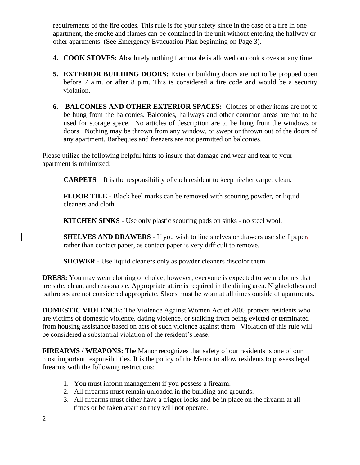requirements of the fire codes. This rule is for your safety since in the case of a fire in one apartment, the smoke and flames can be contained in the unit without entering the hallway or other apartments. (See Emergency Evacuation Plan beginning on Page 3).

- **4. COOK STOVES:** Absolutely nothing flammable is allowed on cook stoves at any time.
- **5. EXTERIOR BUILDING DOORS:** Exterior building doors are not to be propped open before 7 a.m. or after 8 p.m. This is considered a fire code and would be a security violation.
- **6. BALCONIES AND OTHER EXTERIOR SPACES:** Clothes or other items are not to be hung from the balconies. Balconies, hallways and other common areas are not to be used for storage space. No articles of description are to be hung from the windows or doors. Nothing may be thrown from any window, or swept or thrown out of the doors of any apartment. Barbeques and freezers are not permitted on balconies.

Please utilize the following helpful hints to insure that damage and wear and tear to your apartment is minimized:

**CARPETS** – It is the responsibility of each resident to keep his/her carpet clean.

**FLOOR TILE** - Black heel marks can be removed with scouring powder, or liquid cleaners and cloth.

**KITCHEN SINKS** - Use only plastic scouring pads on sinks - no steel wool.

**SHELVES AND DRAWERS** - If you wish to line shelves or drawers use shelf paper, rather than contact paper, as contact paper is very difficult to remove.

**SHOWER** - Use liquid cleaners only as powder cleaners discolor them.

**DRESS:** You may wear clothing of choice; however; everyone is expected to wear clothes that are safe, clean, and reasonable. Appropriate attire is required in the dining area. Nightclothes and bathrobes are not considered appropriate. Shoes must be worn at all times outside of apartments.

**DOMESTIC VIOLENCE:** The Violence Against Women Act of 2005 protects residents who are victims of domestic violence, dating violence, or stalking from being evicted or terminated from housing assistance based on acts of such violence against them. Violation of this rule will be considered a substantial violation of the resident's lease.

**FIREARMS / WEAPONS:** The Manor recognizes that safety of our residents is one of our most important responsibilities. It is the policy of the Manor to allow residents to possess legal firearms with the following restrictions:

- 1. You must inform management if you possess a firearm.
- 2. All firearms must remain unloaded in the building and grounds.
- 3. All firearms must either have a trigger locks and be in place on the firearm at all times or be taken apart so they will not operate.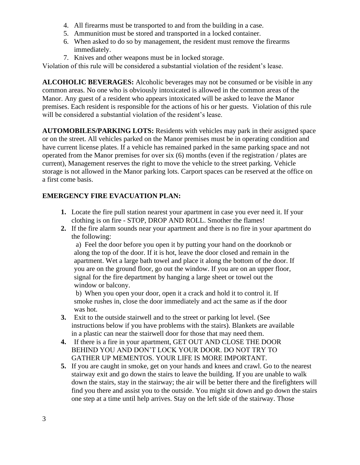- 4. All firearms must be transported to and from the building in a case.
- 5. Ammunition must be stored and transported in a locked container.
- 6. When asked to do so by management, the resident must remove the firearms immediately.
- 7. Knives and other weapons must be in locked storage.

Violation of this rule will be considered a substantial violation of the resident's lease.

**ALCOHOLIC BEVERAGES:** Alcoholic beverages may not be consumed or be visible in any common areas. No one who is obviously intoxicated is allowed in the common areas of the Manor. Any guest of a resident who appears intoxicated will be asked to leave the Manor premises. Each resident is responsible for the actions of his or her guests. Violation of this rule will be considered a substantial violation of the resident's lease.

**AUTOMOBILES/PARKING LOTS:** Residents with vehicles may park in their assigned space or on the street. All vehicles parked on the Manor premises must be in operating condition and have current license plates. If a vehicle has remained parked in the same parking space and not operated from the Manor premises for over six (6) months (even if the registration / plates are current), Management reserves the right to move the vehicle to the street parking. Vehicle storage is not allowed in the Manor parking lots. Carport spaces can be reserved at the office on a first come basis.

# **EMERGENCY FIRE EVACUATION PLAN:**

- **1.** Locate the fire pull station nearest your apartment in case you ever need it. If your clothing is on fire - STOP, DROP AND ROLL. Smother the flames!
- **2.** If the fire alarm sounds near your apartment and there is no fire in your apartment do the following:

a) Feel the door before you open it by putting your hand on the doorknob or along the top of the door. If it is hot, leave the door closed and remain in the apartment. Wet a large bath towel and place it along the bottom of the door. If you are on the ground floor, go out the window. If you are on an upper floor, signal for the fire department by hanging a large sheet or towel out the window or balcony.

b) When you open your door, open it a crack and hold it to control it. If smoke rushes in, close the door immediately and act the same as if the door was hot.

- **3.** Exit to the outside stairwell and to the street or parking lot level. (See instructions below if you have problems with the stairs). Blankets are available in a plastic can near the stairwell door for those that may need them.
- **4.** If there is a fire in your apartment, GET OUT AND CLOSE THE DOOR BEHIND YOU AND DON'T LOCK YOUR DOOR. DO NOT TRY TO GATHER UP MEMENTOS. YOUR LIFE IS MORE IMPORTANT.
- **5.** If you are caught in smoke, get on your hands and knees and crawl. Go to the nearest stairway exit and go down the stairs to leave the building. If you are unable to walk down the stairs, stay in the stairway; the air will be better there and the firefighters will find you there and assist you to the outside. You might sit down and go down the stairs one step at a time until help arrives. Stay on the left side of the stairway. Those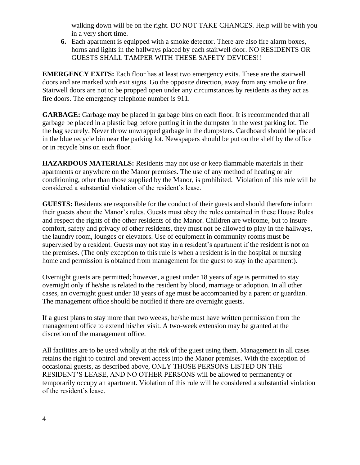walking down will be on the right. DO NOT TAKE CHANCES. Help will be with you in a very short time.

**6.** Each apartment is equipped with a smoke detector. There are also fire alarm boxes, horns and lights in the hallways placed by each stairwell door. NO RESIDENTS OR GUESTS SHALL TAMPER WITH THESE SAFETY DEVICES!!

**EMERGENCY EXITS:** Each floor has at least two emergency exits. These are the stairwell doors and are marked with exit signs. Go the opposite direction, away from any smoke or fire. Stairwell doors are not to be propped open under any circumstances by residents as they act as fire doors. The emergency telephone number is 911.

**GARBAGE:** Garbage may be placed in garbage bins on each floor. It is recommended that all garbage be placed in a plastic bag before putting it in the dumpster in the west parking lot. Tie the bag securely. Never throw unwrapped garbage in the dumpsters. Cardboard should be placed in the blue recycle bin near the parking lot. Newspapers should be put on the shelf by the office or in recycle bins on each floor.

**HAZARDOUS MATERIALS:** Residents may not use or keep flammable materials in their apartments or anywhere on the Manor premises. The use of any method of heating or air conditioning, other than those supplied by the Manor, is prohibited. Violation of this rule will be considered a substantial violation of the resident's lease.

**GUESTS:** Residents are responsible for the conduct of their guests and should therefore inform their guests about the Manor's rules. Guests must obey the rules contained in these House Rules and respect the rights of the other residents of the Manor. Children are welcome, but to insure comfort, safety and privacy of other residents, they must not be allowed to play in the hallways, the laundry room, lounges or elevators. Use of equipment in community rooms must be supervised by a resident. Guests may not stay in a resident's apartment if the resident is not on the premises. (The only exception to this rule is when a resident is in the hospital or nursing home and permission is obtained from management for the guest to stay in the apartment).

Overnight guests are permitted; however, a guest under 18 years of age is permitted to stay overnight only if he/she is related to the resident by blood, marriage or adoption. In all other cases, an overnight guest under 18 years of age must be accompanied by a parent or guardian. The management office should be notified if there are overnight guests.

If a guest plans to stay more than two weeks, he/she must have written permission from the management office to extend his/her visit. A two-week extension may be granted at the discretion of the management office.

All facilities are to be used wholly at the risk of the guest using them. Management in all cases retains the right to control and prevent access into the Manor premises. With the exception of occasional guests, as described above, ONLY THOSE PERSONS LISTED ON THE RESIDENT'S LEASE, AND NO OTHER PERSONS will be allowed to permanently or temporarily occupy an apartment. Violation of this rule will be considered a substantial violation of the resident's lease.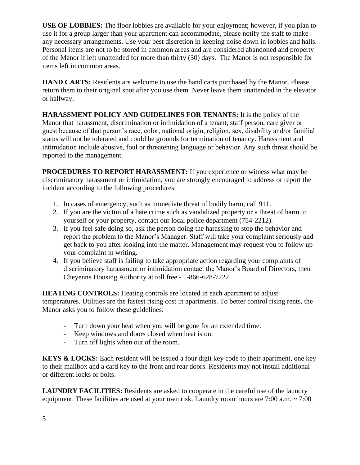**USE OF LOBBIES:** The floor lobbies are available for your enjoyment; however, if you plan to use it for a group larger than your apartment can accommodate, please notify the staff to make any necessary arrangements. Use your best discretion in keeping noise down in lobbies and halls. Personal items are not to be stored in common areas and are considered abandoned and property of the Manor if left unattended for more than thirty (30) days. The Manor is not responsible for items left in common areas.

**HAND CARTS:** Residents are welcome to use the hand carts purchased by the Manor. Please return them to their original spot after you use them. Never leave them unattended in the elevator or hallway.

**HARASSMENT POLICY AND GUIDELINES FOR TENANTS:** It is the policy of the Manor that harassment, discrimination or intimidation of a tenant, staff person, care giver or guest because of that person's race, color, national origin, religion, sex, disability and/or familial status will not be tolerated and could be grounds for termination of tenancy. Harassment and intimidation include abusive, foul or threatening language or behavior. Any such threat should be reported to the management.

**PROCEDURES TO REPORT HARASSMENT:** If you experience or witness what may be discriminatory harassment or intimidation, you are strongly encouraged to address or report the incident according to the following procedures:

- 1. In cases of emergency, such as immediate threat of bodily harm, call 911.
- 2. If you are the victim of a hate crime such as vandalized property or a threat of harm to yourself or your property, contact our local police department (754-2212).
- 3. If you feel safe doing so, ask the person doing the harassing to stop the behavior and report the problem to the Manor's Manager. Staff will take your complaint seriously and get back to you after looking into the matter. Management may request you to follow up your complaint in writing.
- 4. If you believe staff is failing to take appropriate action regarding your complaints of discriminatory harassment or intimidation contact the Manor's Board of Directors, then Cheyenne Housing Authority at toll free - 1-866-628-7222.

**HEATING CONTROLS:** Heating controls are located in each apartment to adjust temperatures. Utilities are the fastest rising cost in apartments. To better control rising rents, the Manor asks you to follow these guidelines:

- Turn down your heat when you will be gone for an extended time.
- Keep windows and doors closed when heat is on.
- Turn off lights when out of the room.

**KEYS & LOCKS:** Each resident will be issued a four digit key code to their apartment, one key to their mailbox and a card key to the front and rear doors. Residents may not install additional or different locks or bolts.

**LAUNDRY FACILITIES:** Residents are asked to cooperate in the careful use of the laundry equipment. These facilities are used at your own risk. Laundry room hours are 7:00 a.m. ~ 7:00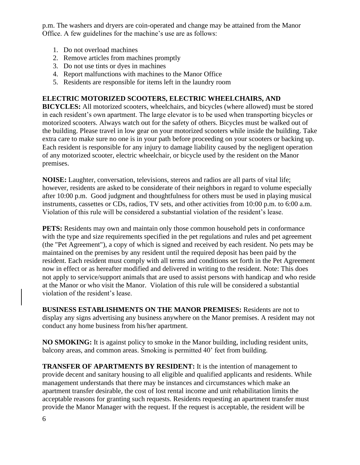p.m. The washers and dryers are coin-operated and change may be attained from the Manor Office. A few guidelines for the machine's use are as follows:

- 1. Do not overload machines
- 2. Remove articles from machines promptly
- 3. Do not use tints or dyes in machines
- 4. Report malfunctions with machines to the Manor Office
- 5. Residents are responsible for items left in the laundry room

### **ELECTRIC MOTORIZED SCOOTERS, ELECTRIC WHEELCHAIRS, AND**

**BICYCLES:** All motorized scooters, wheelchairs, and bicycles (where allowed) must be stored in each resident's own apartment. The large elevator is to be used when transporting bicycles or motorized scooters. Always watch out for the safety of others. Bicycles must be walked out of the building. Please travel in low gear on your motorized scooters while inside the building. Take extra care to make sure no one is in your path before proceeding on your scooters or backing up. Each resident is responsible for any injury to damage liability caused by the negligent operation of any motorized scooter, electric wheelchair, or bicycle used by the resident on the Manor premises.

**NOISE:** Laughter, conversation, televisions, stereos and radios are all parts of vital life; however, residents are asked to be considerate of their neighbors in regard to volume especially after 10:00 p.m. Good judgment and thoughtfulness for others must be used in playing musical instruments, cassettes or CDs, radios, TV sets, and other activities from 10:00 p.m. to 6:00 a.m. Violation of this rule will be considered a substantial violation of the resident's lease.

**PETS:** Residents may own and maintain only those common household pets in conformance with the type and size requirements specified in the pet regulations and rules and pet agreement (the "Pet Agreement"), a copy of which is signed and received by each resident. No pets may be maintained on the premises by any resident until the required deposit has been paid by the resident. Each resident must comply with all terms and conditions set forth in the Pet Agreement now in effect or as hereafter modified and delivered in writing to the resident. Note: This does not apply to service/support animals that are used to assist persons with handicap and who reside at the Manor or who visit the Manor. Violation of this rule will be considered a substantial violation of the resident's lease.

**BUSINESS ESTABLISHMENTS ON THE MANOR PREMISES:** Residents are not to display any signs advertising any business anywhere on the Manor premises. A resident may not conduct any home business from his/her apartment.

**NO SMOKING:** It is against policy to smoke in the Manor building, including resident units, balcony areas, and common areas. Smoking is permitted 40' feet from building.

**TRANSFER OF APARTMENTS BY RESIDENT:** It is the intention of management to provide decent and sanitary housing to all eligible and qualified applicants and residents. While management understands that there may be instances and circumstances which make an apartment transfer desirable, the cost of lost rental income and unit rehabilitation limits the acceptable reasons for granting such requests. Residents requesting an apartment transfer must provide the Manor Manager with the request. If the request is acceptable, the resident will be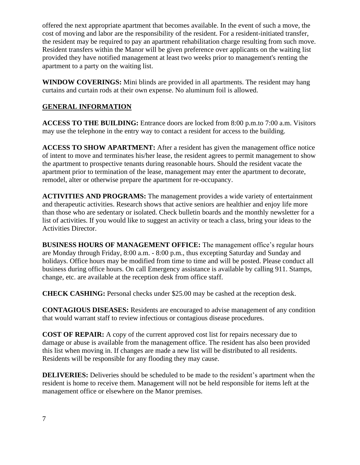offered the next appropriate apartment that becomes available. In the event of such a move, the cost of moving and labor are the responsibility of the resident. For a resident-initiated transfer, the resident may be required to pay an apartment rehabilitation charge resulting from such move. Resident transfers within the Manor will be given preference over applicants on the waiting list provided they have notified management at least two weeks prior to management's renting the apartment to a party on the waiting list.

**WINDOW COVERINGS:** Mini blinds are provided in all apartments. The resident may hang curtains and curtain rods at their own expense. No aluminum foil is allowed.

# **GENERAL INFORMATION**

**ACCESS TO THE BUILDING:** Entrance doors are locked from 8:00 p.m.to 7:00 a.m. Visitors may use the telephone in the entry way to contact a resident for access to the building.

**ACCESS TO SHOW APARTMENT:** After a resident has given the management office notice of intent to move and terminates his/her lease, the resident agrees to permit management to show the apartment to prospective tenants during reasonable hours. Should the resident vacate the apartment prior to termination of the lease, management may enter the apartment to decorate, remodel, alter or otherwise prepare the apartment for re-occupancy.

**ACTIVITIES AND PROGRAMS:** The management provides a wide variety of entertainment and therapeutic activities. Research shows that active seniors are healthier and enjoy life more than those who are sedentary or isolated. Check bulletin boards and the monthly newsletter for a list of activities. If you would like to suggest an activity or teach a class, bring your ideas to the Activities Director.

**BUSINESS HOURS OF MANAGEMENT OFFICE:** The management office's regular hours are Monday through Friday, 8:00 a.m. - 8:00 p.m., thus excepting Saturday and Sunday and holidays. Office hours may be modified from time to time and will be posted. Please conduct all business during office hours. On call Emergency assistance is available by calling 911. Stamps, change, etc. are available at the reception desk from office staff.

**CHECK CASHING:** Personal checks under \$25.00 may be cashed at the reception desk.

**CONTAGIOUS DISEASES:** Residents are encouraged to advise management of any condition that would warrant staff to review infectious or contagious disease procedures.

**COST OF REPAIR:** A copy of the current approved cost list for repairs necessary due to damage or abuse is available from the management office. The resident has also been provided this list when moving in. If changes are made a new list will be distributed to all residents. Residents will be responsible for any flooding they may cause.

**DELIVERIES:** Deliveries should be scheduled to be made to the resident's apartment when the resident is home to receive them. Management will not be held responsible for items left at the management office or elsewhere on the Manor premises.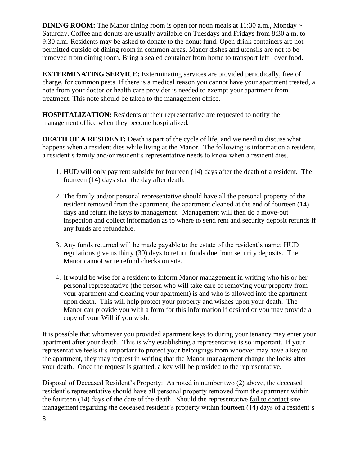**DINING ROOM:** The Manor dining room is open for noon meals at 11:30 a.m., Monday  $\sim$ Saturday. Coffee and donuts are usually available on Tuesdays and Fridays from 8:30 a.m. to 9:30 a.m. Residents may be asked to donate to the donut fund. Open drink containers are not permitted outside of dining room in common areas. Manor dishes and utensils are not to be removed from dining room. Bring a sealed container from home to transport left –over food.

**EXTERMINATING SERVICE:** Exterminating services are provided periodically, free of charge, for common pests. If there is a medical reason you cannot have your apartment treated, a note from your doctor or health care provider is needed to exempt your apartment from treatment. This note should be taken to the management office.

**HOSPITALIZATION:** Residents or their representative are requested to notify the management office when they become hospitalized.

**DEATH OF A RESIDENT:** Death is part of the cycle of life, and we need to discuss what happens when a resident dies while living at the Manor. The following is information a resident, a resident's family and/or resident's representative needs to know when a resident dies.

- 1. HUD will only pay rent subsidy for fourteen (14) days after the death of a resident. The fourteen (14) days start the day after death.
- 2. The family and/or personal representative should have all the personal property of the resident removed from the apartment, the apartment cleaned at the end of fourteen (14) days and return the keys to management. Management will then do a move-out inspection and collect information as to where to send rent and security deposit refunds if any funds are refundable.
- 3. Any funds returned will be made payable to the estate of the resident's name; HUD regulations give us thirty (30) days to return funds due from security deposits. The Manor cannot write refund checks on site.
- 4. It would be wise for a resident to inform Manor management in writing who his or her personal representative (the person who will take care of removing your property from your apartment and cleaning your apartment) is and who is allowed into the apartment upon death. This will help protect your property and wishes upon your death. The Manor can provide you with a form for this information if desired or you may provide a copy of your Will if you wish.

It is possible that whomever you provided apartment keys to during your tenancy may enter your apartment after your death. This is why establishing a representative is so important. If your representative feels it's important to protect your belongings from whoever may have a key to the apartment, they may request in writing that the Manor management change the locks after your death. Once the request is granted, a key will be provided to the representative.

Disposal of Deceased Resident's Property: As noted in number two (2) above, the deceased resident's representative should have all personal property removed from the apartment within the fourteen (14) days of the date of the death. Should the representative fail to contact site management regarding the deceased resident's property within fourteen (14) days of a resident's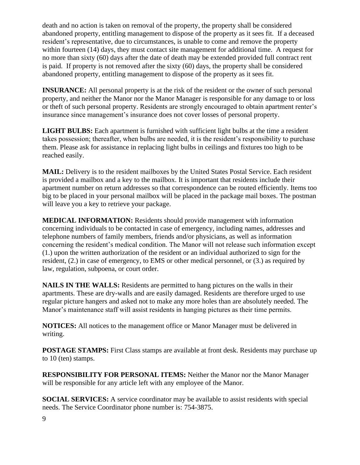death and no action is taken on removal of the property, the property shall be considered abandoned property, entitling management to dispose of the property as it sees fit. If a deceased resident's representative, due to circumstances, is unable to come and remove the property within fourteen (14) days, they must contact site management for additional time. A request for no more than sixty (60) days after the date of death may be extended provided full contract rent is paid. If property is not removed after the sixty (60) days, the property shall be considered abandoned property, entitling management to dispose of the property as it sees fit.

**INSURANCE:** All personal property is at the risk of the resident or the owner of such personal property, and neither the Manor nor the Manor Manager is responsible for any damage to or loss or theft of such personal property. Residents are strongly encouraged to obtain apartment renter's insurance since management's insurance does not cover losses of personal property.

**LIGHT BULBS:** Each apartment is furnished with sufficient light bulbs at the time a resident takes possession; thereafter, when bulbs are needed, it is the resident's responsibility to purchase them. Please ask for assistance in replacing light bulbs in ceilings and fixtures too high to be reached easily.

**MAIL:** Delivery is to the resident mailboxes by the United States Postal Service. Each resident is provided a mailbox and a key to the mailbox. It is important that residents include their apartment number on return addresses so that correspondence can be routed efficiently. Items too big to be placed in your personal mailbox will be placed in the package mail boxes. The postman will leave you a key to retrieve your package.

**MEDICAL INFORMATION:** Residents should provide management with information concerning individuals to be contacted in case of emergency, including names, addresses and telephone numbers of family members, friends and/or physicians, as well as information concerning the resident's medical condition. The Manor will not release such information except (1.) upon the written authorization of the resident or an individual authorized to sign for the resident, (2.) in case of emergency, to EMS or other medical personnel, or (3.) as required by law, regulation, subpoena, or court order.

**NAILS IN THE WALLS:** Residents are permitted to hang pictures on the walls in their apartments. These are dry-walls and are easily damaged. Residents are therefore urged to use regular picture hangers and asked not to make any more holes than are absolutely needed. The Manor's maintenance staff will assist residents in hanging pictures as their time permits.

**NOTICES:** All notices to the management office or Manor Manager must be delivered in writing.

**POSTAGE STAMPS:** First Class stamps are available at front desk. Residents may purchase up to 10 (ten) stamps.

**RESPONSIBILITY FOR PERSONAL ITEMS:** Neither the Manor nor the Manor Manager will be responsible for any article left with any employee of the Manor.

**SOCIAL SERVICES:** A service coordinator may be available to assist residents with special needs. The Service Coordinator phone number is: 754-3875.